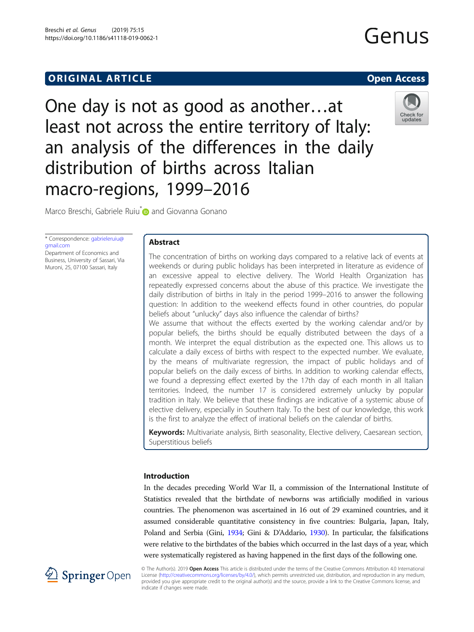# **ORIGINAL ARTICLE CONSUMING A LIGACION** CONSUMING A LIGACION CONSUMING A LIGACION CONSUMING A LIGACION CONSUMING A LIGACION CONSUMING A LIGACION CONSUMING A LIGACION CONSUMING A LIGACION CONSUMING A LIGACION CONSUMING A

One day is not as good as another…at least not across the entire territory of Italy: an analysis of the differences in the daily distribution of births across Italian macro-regions, 1999–2016



Marco Breschi, Gabriele Ruiu<sup>\*</sup> and Giovanna Gonano

\* Correspondence: [gabrieleruiu@](mailto:gabrieleruiu@gmail.com) [gmail.com](mailto:gabrieleruiu@gmail.com) Department of Economics and Business, University of Sassari, Via Muroni, 25, 07100 Sassari, Italy

## Abstract

The concentration of births on working days compared to a relative lack of events at weekends or during public holidays has been interpreted in literature as evidence of an excessive appeal to elective delivery. The World Health Organization has repeatedly expressed concerns about the abuse of this practice. We investigate the daily distribution of births in Italy in the period 1999–2016 to answer the following question: In addition to the weekend effects found in other countries, do popular beliefs about "unlucky" days also influence the calendar of births?

We assume that without the effects exerted by the working calendar and/or by popular beliefs, the births should be equally distributed between the days of a month. We interpret the equal distribution as the expected one. This allows us to calculate a daily excess of births with respect to the expected number. We evaluate, by the means of multivariate regression, the impact of public holidays and of popular beliefs on the daily excess of births. In addition to working calendar effects, we found a depressing effect exerted by the 17th day of each month in all Italian territories. Indeed, the number 17 is considered extremely unlucky by popular tradition in Italy. We believe that these findings are indicative of a systemic abuse of elective delivery, especially in Southern Italy. To the best of our knowledge, this work is the first to analyze the effect of irrational beliefs on the calendar of births.

Keywords: Multivariate analysis, Birth seasonality, Elective delivery, Caesarean section, Superstitious beliefs

## Introduction

In the decades preceding World War II, a commission of the International Institute of Statistics revealed that the birthdate of newborns was artificially modified in various countries. The phenomenon was ascertained in 16 out of 29 examined countries, and it assumed considerable quantitative consistency in five countries: Bulgaria, Japan, Italy, Poland and Serbia (Gini, [1934;](#page-13-0) Gini & D'Addario, [1930](#page-13-0)). In particular, the falsifications were relative to the birthdates of the babies which occurred in the last days of a year, which were systematically registered as having happened in the first days of the following one.



© The Author(s). 2019 Open Access This article is distributed under the terms of the Creative Commons Attribution 4.0 International License [\(http://creativecommons.org/licenses/by/4.0/](http://creativecommons.org/licenses/by/4.0/)), which permits unrestricted use, distribution, and reproduction in any medium, provided you give appropriate credit to the original author(s) and the source, provide a link to the Creative Commons license, and indicate if changes were made.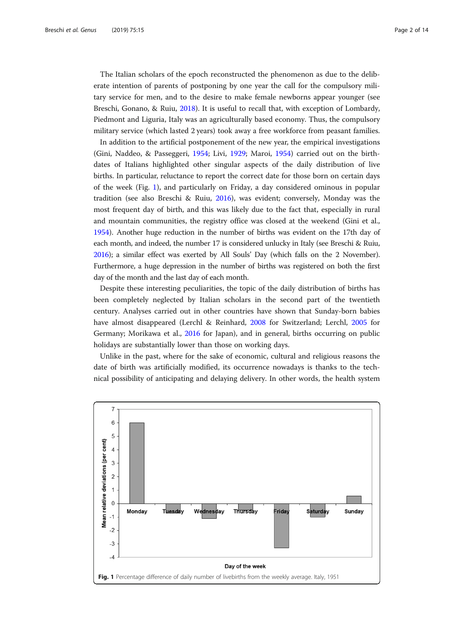The Italian scholars of the epoch reconstructed the phenomenon as due to the deliberate intention of parents of postponing by one year the call for the compulsory military service for men, and to the desire to make female newborns appear younger (see Breschi, Gonano, & Ruiu, [2018\)](#page-13-0). It is useful to recall that, with exception of Lombardy, Piedmont and Liguria, Italy was an agriculturally based economy. Thus, the compulsory military service (which lasted 2 years) took away a free workforce from peasant families.

In addition to the artificial postponement of the new year, the empirical investigations (Gini, Naddeo, & Passeggeri, [1954;](#page-13-0) Livi, [1929;](#page-13-0) Maroi, [1954\)](#page-13-0) carried out on the birthdates of Italians highlighted other singular aspects of the daily distribution of live births. In particular, reluctance to report the correct date for those born on certain days of the week (Fig. 1), and particularly on Friday, a day considered ominous in popular tradition (see also Breschi & Ruiu, [2016\)](#page-13-0), was evident; conversely, Monday was the most frequent day of birth, and this was likely due to the fact that, especially in rural and mountain communities, the registry office was closed at the weekend (Gini et al., [1954](#page-13-0)). Another huge reduction in the number of births was evident on the 17th day of each month, and indeed, the number 17 is considered unlucky in Italy (see Breschi & Ruiu, [2016\)](#page-13-0); a similar effect was exerted by All Souls' Day (which falls on the 2 November). Furthermore, a huge depression in the number of births was registered on both the first day of the month and the last day of each month.

Despite these interesting peculiarities, the topic of the daily distribution of births has been completely neglected by Italian scholars in the second part of the twentieth century. Analyses carried out in other countries have shown that Sunday-born babies have almost disappeared (Lerchl & Reinhard, [2008](#page-13-0) for Switzerland; Lerchl, [2005](#page-13-0) for Germany; Morikawa et al., [2016](#page-13-0) for Japan), and in general, births occurring on public holidays are substantially lower than those on working days.

Unlike in the past, where for the sake of economic, cultural and religious reasons the date of birth was artificially modified, its occurrence nowadays is thanks to the technical possibility of anticipating and delaying delivery. In other words, the health system

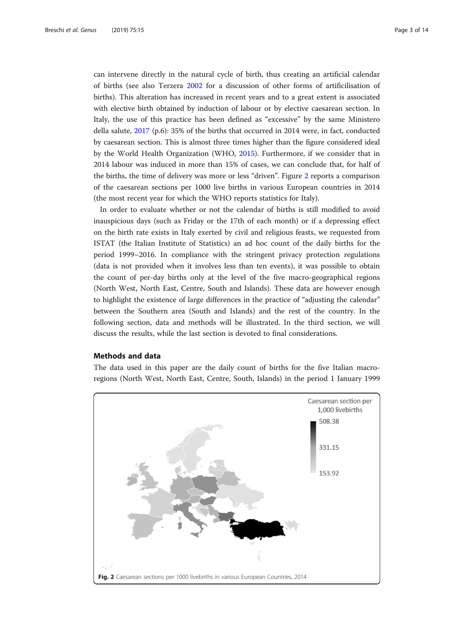can intervene directly in the natural cycle of birth, thus creating an artificial calendar of births (see also Terzera [2002](#page-13-0) for a discussion of other forms of artificilisation of births). This alteration has increased in recent years and to a great extent is associated with elective birth obtained by induction of labour or by elective caesarean section. In Italy, the use of this practice has been defined as "excessive" by the same Ministero della salute, [2017](#page-13-0) (p.6): 35% of the births that occurred in 2014 were, in fact, conducted by caesarean section. This is almost three times higher than the figure considered ideal by the World Health Organization (WHO, [2015](#page-13-0)). Furthermore, if we consider that in 2014 labour was induced in more than 15% of cases, we can conclude that, for half of the births, the time of delivery was more or less "driven". Figure 2 reports a comparison of the caesarean sections per 1000 live births in various European countries in 2014 (the most recent year for which the WHO reports statistics for Italy).

In order to evaluate whether or not the calendar of births is still modified to avoid inauspicious days (such as Friday or the 17th of each month) or if a depressing effect on the birth rate exists in Italy exerted by civil and religious feasts, we requested from ISTAT (the Italian Institute of Statistics) an ad hoc count of the daily births for the period 1999–2016. In compliance with the stringent privacy protection regulations (data is not provided when it involves less than ten events), it was possible to obtain the count of per-day births only at the level of the five macro-geographical regions (North West, North East, Centre, South and Islands). These data are however enough to highlight the existence of large differences in the practice of "adjusting the calendar" between the Southern area (South and Islands) and the rest of the country. In the following section, data and methods will be illustrated. In the third section, we will discuss the results, while the last section is devoted to final considerations.

### Methods and data

The data used in this paper are the daily count of births for the five Italian macroregions (North West, North East, Centre, South, Islands) in the period 1 January 1999

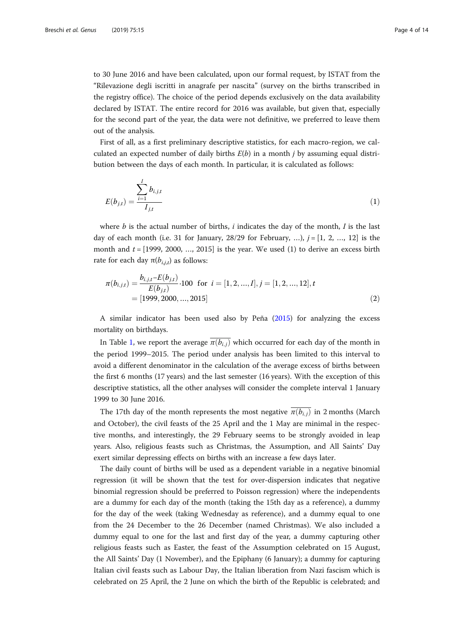to 30 June 2016 and have been calculated, upon our formal request, by ISTAT from the "Rilevazione degli iscritti in anagrafe per nascita" (survey on the births transcribed in the registry office). The choice of the period depends exclusively on the data availability declared by ISTAT. The entire record for 2016 was available, but given that, especially for the second part of the year, the data were not definitive, we preferred to leave them out of the analysis.

First of all, as a first preliminary descriptive statistics, for each macro-region, we calculated an expected number of daily births  $E(b)$  in a month *j* by assuming equal distribution between the days of each month. In particular, it is calculated as follows:

$$
E(b_{j,t}) = \frac{\sum_{i=1}^{I} b_{i,j,t}}{I_{j,t}}
$$
 (1)

where b is the actual number of births,  $i$  indicates the day of the month,  $I$  is the last day of each month (i.e. 31 for January, 28/29 for February, ...),  $j = [1, 2, ..., 12]$  is the month and  $t = [1999, 2000, ..., 2015]$  is the year. We used (1) to derive an excess birth rate for each day  $π(b_{i,j,t})$  as follows:

$$
\pi(b_{i,j,t}) = \frac{b_{i,j,t} - E(b_{j,t})}{E(b_{j,t})} \cdot 100 \text{ for } i = [1, 2, ..., I], j = [1, 2, ..., 12], t
$$
  
= [1999, 2000, ..., 2015] (2)

A similar indicator has been used also by Peña [\(2015\)](#page-13-0) for analyzing the excess mortality on birthdays.

In Table [1](#page-4-0), we report the average  $\overline{\pi(b_{i,j})}$  which occurred for each day of the month in the period 1999–2015. The period under analysis has been limited to this interval to avoid a different denominator in the calculation of the average excess of births between the first 6 months (17 years) and the last semester (16 years). With the exception of this descriptive statistics, all the other analyses will consider the complete interval 1 January 1999 to 30 June 2016.

The 17th day of the month represents the most negative  $\pi(b_{i,j})$  in 2 months (March and October), the civil feasts of the 25 April and the 1 May are minimal in the respective months, and interestingly, the 29 February seems to be strongly avoided in leap years. Also, religious feasts such as Christmas, the Assumption, and All Saints' Day exert similar depressing effects on births with an increase a few days later.

The daily count of births will be used as a dependent variable in a negative binomial regression (it will be shown that the test for over-dispersion indicates that negative binomial regression should be preferred to Poisson regression) where the independents are a dummy for each day of the month (taking the 15th day as a reference), a dummy for the day of the week (taking Wednesday as reference), and a dummy equal to one from the 24 December to the 26 December (named Christmas). We also included a dummy equal to one for the last and first day of the year, a dummy capturing other religious feasts such as Easter, the feast of the Assumption celebrated on 15 August, the All Saints' Day (1 November), and the Epiphany (6 January); a dummy for capturing Italian civil feasts such as Labour Day, the Italian liberation from Nazi fascism which is celebrated on 25 April, the 2 June on which the birth of the Republic is celebrated; and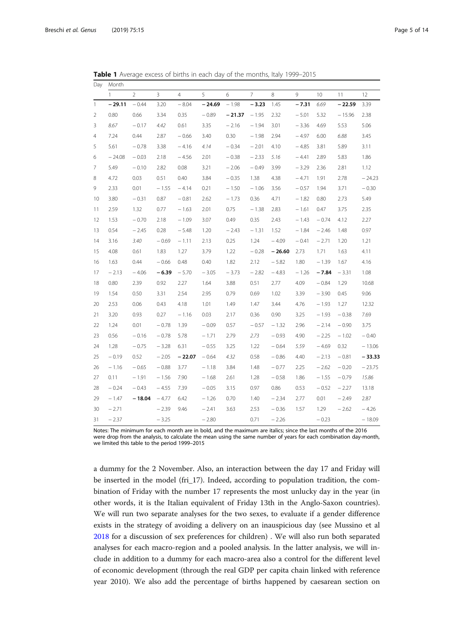<span id="page-4-0"></span>Table 1 Average excess of births in each day of the months, Italy 1999-2015

| Day          | Month        |                |                |                |          |          |                |          |         |         |          |          |
|--------------|--------------|----------------|----------------|----------------|----------|----------|----------------|----------|---------|---------|----------|----------|
|              | $\mathbf{1}$ | $\overline{2}$ | $\overline{3}$ | $\overline{4}$ | 5        | 6        | $\overline{7}$ | 8        | 9       | 10      | 11       | 12       |
| $\mathbf{1}$ | $-29.11$     | $-0.44$        | 3.20           | $-8.04$        | $-24.69$ | $-1.98$  | $-3.23$        | 1.45     | $-7.31$ | 6.69    | $-22.59$ | 3.39     |
| 2            | 0.80         | 0.66           | 3.34           | 0.35           | $-0.89$  | $-21.37$ | $-1.95$        | 2.32     | $-5.01$ | 5.32    | $-15.96$ | 2.38     |
| 3            | 8.67         | $-0.17$        | 4.42           | 0.61           | 3.35     | $-2.16$  | $-1.94$        | 3.01     | $-3.36$ | 4.69    | 5.53     | 5.06     |
| 4            | 7.24         | 0.44           | 2.87           | $-0.66$        | 3.40     | 0.30     | $-1.98$        | 2.94     | $-4.97$ | 6.00    | 6.88     | 3.45     |
| 5            | 5.61         | $-0.78$        | 3.38           | $-4.16$        | 4.14     | $-0.34$  | $-2.01$        | 4.10     | $-4.85$ | 3.81    | 5.89     | 3.11     |
| 6            | $-24.08$     | $-0.03$        | 2.18           | $-4.56$        | 2.01     | $-0.38$  | $-2.33$        | 5.16     | $-4.41$ | 2.89    | 5.83     | 1.86     |
| 7            | 5.49         | $-0.10$        | 2.82           | 0.08           | 3.21     | $-2.06$  | $-0.49$        | 3.99     | $-3.29$ | 2.36    | 2.81     | 1.12     |
| 8            | 4.72         | 0.03           | 0.51           | 0.40           | 3.84     | $-0.35$  | 1.38           | 4.38     | $-4.71$ | 1.91    | 2.78     | $-24.23$ |
| 9            | 2.33         | 0.01           | $-1.55$        | $-4.14$        | 0.21     | $-1.50$  | $-1.06$        | 3.56     | $-0.57$ | 1.94    | 3.71     | $-0.30$  |
| 10           | 3.80         | $-0.31$        | 0.87           | $-0.81$        | 2.62     | $-1.73$  | 0.36           | 4.71     | $-1.82$ | 0.80    | 2.73     | 5.49     |
| 11           | 2.59         | 1.32           | 0.77           | $-1.63$        | 2.01     | 0.75     | $-1.38$        | 2.83     | $-1.61$ | 0.47    | 3.75     | 2.35     |
| 12           | 1.53         | $-0.70$        | 2.18           | $-1.09$        | 3.07     | 0.49     | 0.35           | 2.43     | $-1.43$ | $-0.74$ | 4.12     | 2.27     |
| 13           | 0.54         | $-2.45$        | 0.28           | $-5.48$        | 1.20     | $-2.43$  | $-1.31$        | 1.52     | $-1.84$ | $-2.46$ | 1.48     | 0.97     |
| 14           | 3.16         | 3.40           | $-0.69$        | $-1.11$        | 2.13     | 0.25     | 1.24           | $-4.09$  | $-0.41$ | $-2.71$ | 1.20     | 1.21     |
| 15           | 4.08         | 0.61           | 1.83           | 1.27           | 3.79     | 1.22     | $-0.28$        | $-26.60$ | 2.73    | 1.71    | 1.63     | 4.11     |
| 16           | 1.63         | 0.44           | $-0.66$        | 0.48           | 0.40     | 1.82     | 2.12           | $-5.82$  | 1.80    | $-1.39$ | 1.67     | 4.16     |
| 17           | $-2.13$      | $-4.06$        | $-6.39$        | $-5.70$        | $-3.05$  | $-3.73$  | $-2.82$        | $-4.83$  | $-1.26$ | $-7.84$ | $-3.31$  | 1.08     |
| 18           | 0.80         | 2.39           | 0.92           | 2.27           | 1.64     | 3.88     | 0.51           | 2.77     | 4.09    | $-0.84$ | 1.29     | 10.68    |
| 19           | 1.54         | 0.50           | 3.31           | 2.54           | 2.95     | 0.79     | 0.69           | 1.02     | 3.39    | $-3.90$ | 0.45     | 9.06     |
| 20           | 2.53         | 0.06           | 0.43           | 4.18           | 1.01     | 1.49     | 1.47           | 3.44     | 4.76    | $-1.93$ | 1.27     | 12.32    |
| 21           | 3.20         | 0.93           | 0.27           | $-1.16$        | 0.03     | 2.17     | 0.36           | 0.90     | 3.25    | $-1.93$ | $-0.38$  | 7.69     |
| 22           | 1.24         | 0.01           | $-0.78$        | 1.39           | $-0.09$  | 0.57     | $-0.57$        | $-1.32$  | 2.96    | $-2.14$ | $-0.90$  | 3.75     |
| 23           | 0.56         | $-0.16$        | $-0.78$        | 5.78           | $-1.71$  | 2.79     | 2.73           | $-0.93$  | 4.90    | $-2.25$ | $-1.02$  | $-0.40$  |
| 24           | 1.28         | $-0.75$        | $-3.28$        | 6.31           | $-0.55$  | 3.25     | 1.22           | $-0.64$  | 5.59    | $-4.69$ | 0.32     | $-13.06$ |
| 25           | $-0.19$      | 0.52           | $-2.05$        | $-22.07$       | $-0.64$  | 4.32     | 0.58           | $-0.86$  | 4.40    | $-2.13$ | $-0.81$  | $-33.33$ |
| 26           | $-1.16$      | $-0.65$        | $-0.88$        | 3.77           | $-1.18$  | 3.84     | 1.48           | $-0.77$  | 2.25    | $-2.62$ | $-0.20$  | $-23.75$ |
| 27           | 0.11         | $-1.91$        | $-1.56$        | 7.90           | $-1.68$  | 2.61     | 1.28           | $-0.58$  | 1.86    | $-1.55$ | $-0.79$  | 15.86    |
| 28           | $-0.24$      | $-0.43$        | $-4.55$        | 7.39           | $-0.05$  | 3.15     | 0.97           | 0.86     | 0.53    | $-0.52$ | $-2.27$  | 13.18    |
| 29           | $-1.47$      | $-18.04$       | $-4.77$        | 6.42           | $-1.26$  | 0.70     | 1.40           | $-2.34$  | 2.77    | 0.01    | $-2.49$  | 2.87     |
| 30           | $-2.71$      |                | $-2.39$        | 9.46           | $-2.41$  | 3.63     | 2.53           | $-0.36$  | 1.57    | 1.29    | $-2.62$  | $-4.26$  |
| 31           | $-2.37$      |                | $-3.25$        |                | $-2.80$  |          | 0.71           | $-2.26$  |         | $-0.23$ |          | $-18.09$ |

Notes: The minimum for each month are in bold, and the maximum are italics; since the last months of the 2016 were drop from the analysis, to calculate the mean using the same number of years for each combination day-month, we limited this table to the period 1999–2015

a dummy for the 2 November. Also, an interaction between the day 17 and Friday will be inserted in the model (fri\_17). Indeed, according to population tradition, the combination of Friday with the number 17 represents the most unlucky day in the year (in other words, it is the Italian equivalent of Friday 13th in the Anglo-Saxon countries). We will run two separate analyses for the two sexes, to evaluate if a gender difference exists in the strategy of avoiding a delivery on an inauspicious day (see Mussino et al [2018](#page-13-0) for a discussion of sex preferences for children) . We will also run both separated analyses for each macro-region and a pooled analysis. In the latter analysis, we will include in addition to a dummy for each macro-area also a control for the different level of economic development (through the real GDP per capita chain linked with reference year 2010). We also add the percentage of births happened by caesarean section on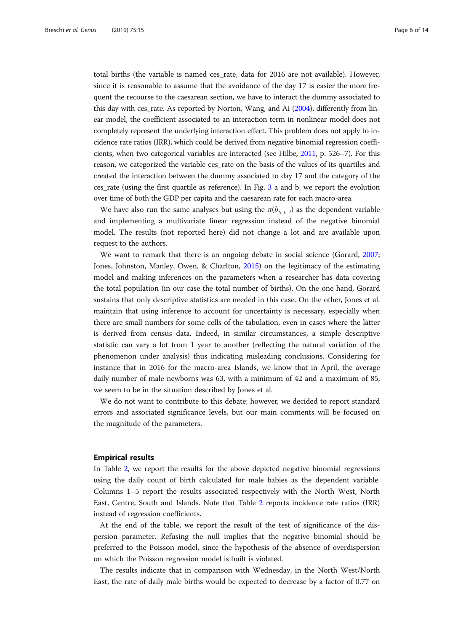total births (the variable is named ces\_rate, data for 2016 are not available). However, since it is reasonable to assume that the avoidance of the day 17 is easier the more frequent the recourse to the caesarean section, we have to interact the dummy associated to this day with ces rate. As reported by Norton, Wang, and Ai  $(2004)$ , differently from linear model, the coefficient associated to an interaction term in nonlinear model does not completely represent the underlying interaction effect. This problem does not apply to incidence rate ratios (IRR), which could be derived from negative binomial regression coefficients, when two categorical variables are interacted (see Hilbe, [2011,](#page-13-0) p. 526–7). For this reason, we categorized the variable ces\_rate on the basis of the values of its quartiles and created the interaction between the dummy associated to day 17 and the category of the ces\_rate (using the first quartile as reference). In Fig. [3](#page-6-0) a and b, we report the evolution over time of both the GDP per capita and the caesarean rate for each macro-area.

We have also run the same analyses but using the  $\pi(b_{i, j, t})$  as the dependent variable and implementing a multivariate linear regression instead of the negative binomial model. The results (not reported here) did not change a lot and are available upon request to the authors.

We want to remark that there is an ongoing debate in social science (Gorard, [2007](#page-13-0); Jones, Johnston, Manley, Owen, & Charlton, [2015](#page-13-0)) on the legitimacy of the estimating model and making inferences on the parameters when a researcher has data covering the total population (in our case the total number of births). On the one hand, Gorard sustains that only descriptive statistics are needed in this case. On the other, Jones et al. maintain that using inference to account for uncertainty is necessary, especially when there are small numbers for some cells of the tabulation, even in cases where the latter is derived from census data. Indeed, in similar circumstances, a simple descriptive statistic can vary a lot from 1 year to another (reflecting the natural variation of the phenomenon under analysis) thus indicating misleading conclusions. Considering for instance that in 2016 for the macro-area Islands, we know that in April, the average daily number of male newborns was 63, with a minimum of 42 and a maximum of 85, we seem to be in the situation described by Jones et al.

We do not want to contribute to this debate; however, we decided to report standard errors and associated significance levels, but our main comments will be focused on the magnitude of the parameters.

#### Empirical results

In Table [2,](#page-7-0) we report the results for the above depicted negative binomial regressions using the daily count of birth calculated for male babies as the dependent variable. Columns 1–5 report the results associated respectively with the North West, North East, Centre, South and Islands. Note that Table [2](#page-7-0) reports incidence rate ratios (IRR) instead of regression coefficients.

At the end of the table, we report the result of the test of significance of the dispersion parameter. Refusing the null implies that the negative binomial should be preferred to the Poisson model, since the hypothesis of the absence of overdispersion on which the Poisson regression model is built is violated.

The results indicate that in comparison with Wednesday, in the North West/North East, the rate of daily male births would be expected to decrease by a factor of 0.77 on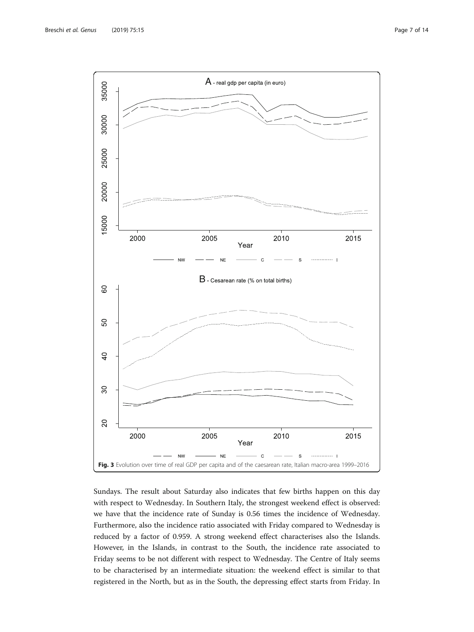<span id="page-6-0"></span>

Sundays. The result about Saturday also indicates that few births happen on this day with respect to Wednesday. In Southern Italy, the strongest weekend effect is observed: we have that the incidence rate of Sunday is 0.56 times the incidence of Wednesday. Furthermore, also the incidence ratio associated with Friday compared to Wednesday is reduced by a factor of 0.959. A strong weekend effect characterises also the Islands. However, in the Islands, in contrast to the South, the incidence rate associated to Friday seems to be not different with respect to Wednesday. The Centre of Italy seems to be characterised by an intermediate situation: the weekend effect is similar to that registered in the North, but as in the South, the depressing effect starts from Friday. In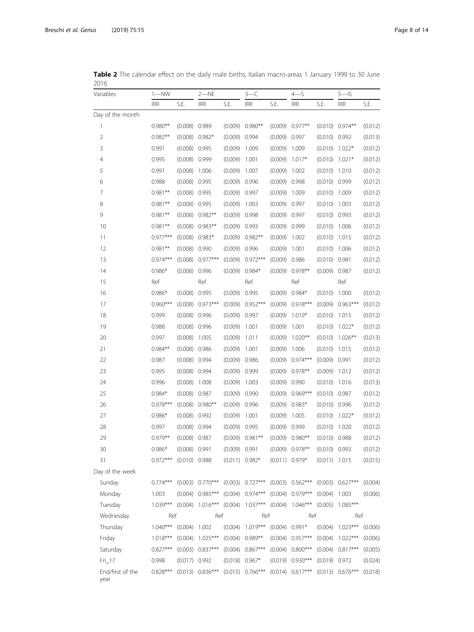<span id="page-7-0"></span>Table 2 The calendar effect on the daily male births, Italian macro-areas 1 January 1999 to 30 June 

| Variables                | $1 - NN$   |                 | $2-\text{NE}$      |                  | $3-C$              |                  | $4 - S$              |                  | $5 - S$              |         |
|--------------------------|------------|-----------------|--------------------|------------------|--------------------|------------------|----------------------|------------------|----------------------|---------|
|                          | <b>IRR</b> | S.E.            | <b>IRR</b>         | S.E.             | <b>IRR</b>         | S.E.             | <b>IRR</b>           | S.E.             | <b>IRR</b>           | S.E.    |
| Day of the month         |            |                 |                    |                  |                    |                  |                      |                  |                      |         |
| 1                        | $0.980**$  | $(0.008)$ 0.989 |                    |                  | $(0.009)$ 0.980**  | (0.009)          | $0.977**$            |                  | $(0.010)$ 0.974**    | (0.012) |
| $\overline{2}$           | $0.982**$  | (0.008)         | $0.982*$           | $(0.009)$ 0.994  |                    | $(0.009)$ 0.997  |                      | $(0.010)$ 0.992  |                      | (0.013) |
| 3                        | 0.991      | (0.008)         | 0.995              | (0.009)          | 1.009              | (0.009)          | 1.009                | $(0.010)$ 1.022* |                      | (0.012) |
| $\overline{4}$           | 0.995      | (0.008)         | 0.999              | (0.009)          | 1.001              | (0.009)          | $1.017*$             | (0.010)          | $1.021*$             | (0.012) |
| 5                        | 0.991      | (0.008)         | 1.006              | (0.009)          | 1.007              | (0.009)          | 1.002                | (0.010)          | 1.010                | (0.012) |
| 6                        | 0.988      | (0.008)         | 0.995              | (0.009)          | 0.996              | (0.009)          | 0.998                | $(0.010)$ 0.999  |                      | (0.012) |
| 7                        | $0.981**$  | (0.008)         | 0.995              | $(0.009)$ 0.997  |                    | (0.009)          | 1.009                | (0.010)          | 1.009                | (0.012) |
| 8                        | $0.981**$  | $(0.008)$ 0.995 |                    | (0.009)          | 1.003              | $(0.009)$ 0.997  |                      | $(0.010)$ 1.003  |                      | (0.012) |
| 9                        | $0.981**$  | (0.008)         | $0.982**$          | (0.009)          | 0.998              | (0.009)          | 0.997                | $(0.010)$ 0.993  |                      | (0.012) |
| 10                       | $0.981**$  | (0.008)         | $0.983**$          | (0.009)          | 0.993              | (0.009)          | 0.999                | (0.010)          | 1.006                | (0.012) |
| 11                       | $0.977***$ | (0.008)         | $0.983*$           |                  | $(0.009)$ 0.982**  | (0.009)          | 1.002                | (0.010)          | 1.015                | (0.012) |
| 12                       | $0.981**$  | (0.008)         | 0.990              | (0.009)          | 0.996              | (0.009)          | 1.001                | (0.010)          | 1.006                | (0.012) |
| 13                       | $0.974***$ | (0.008)         | $0.977***$         | (0.009)          | $0.972***$         | (0.009)          | 0.986                | $(0.010)$ 0.981  |                      | (0.012) |
| 14                       | $0.986*$   | (0.008)         | 0.996              | $(0.009)$ 0.984* |                    | (0.009)          | $0.978**$            | $(0.009)$ 0.987  |                      | (0.012) |
| 15                       | Ref        |                 | Ref                |                  | Ref                |                  | Ref                  |                  | Ref                  |         |
| 16                       | $0.986*$   | (0.008)         | 0.995              | (0.009)          | 0.995              | (0.009)          | $0.984*$             | (0.010)          | 1.000                | (0.012) |
| 17                       | $0.960***$ | (0.008)         | $0.973***$         | (0.009)          | $0.952***$         | (0.009)          | $0.918***$           |                  | $(0.009)$ 0.963***   | (0.012) |
| 18                       | 0.999      | (0.008)         | 0.996              | (0.009)          | 0.997              | (0.009)          | $1.019*$             | (0.010)          | 1.015                | (0.012) |
| 19                       | 0.988      | (0.008)         | 0.996              | (0.009)          | 1.001              | (0.009)          | 1.001                | (0.010)          | $1.022*$             | (0.012) |
| 20                       | 0.997      | (0.008)         | 1.005              | (0.009)          | 1.011              | (0.009)          | $1.020**$            | (0.010)          | $1.026***$           | (0.013) |
| 21                       | $0.984**$  | (0.008)         | 0.986              | (0.009)          | 1.001              | (0.009)          | 1.006                | (0.010)          | 1.015                | (0.012) |
| 22                       | 0.987      | (0.008)         | 0.994              | (0.009)          | 0.986              | (0.009)          | $0.974***$           | (0.009)          | 0.991                | (0.012) |
| 23                       | 0.995      | (0.008)         | 0.994              | $(0.009)$ 0.999  |                    | (0.009)          | $0.978**$            | (0.009)          | 1.012                | (0.012) |
| 24                       | 0.996      | (0.008)         | 1.008              | (0.009)          | 1.003              | (0.009)          | 0.990                | (0.010)          | 1.016                | (0.013) |
| 25                       | $0.984*$   | (0.008)         | 0.987              | (0.009)          | 0.990              | (0.009)          | $0.969***$           | $(0.010)$ 0.987  |                      | (0.012) |
| 26                       | $0.978***$ | (0.008)         | $0.980**$          | $(0.009)$ 0.996  |                    | $(0.009)$ 0.983* |                      | $(0.010)$ 0.996  |                      | (0.012) |
| 27                       | $0.986*$   | (0.008)         | 0.992              | (0.009)          | 1.001              | (0.009)          | 1.005                | $(0.010)$ 1.022* |                      | (0.012) |
| 28                       | 0.997      | (0.008)         | 0.994              | (0.009)          | 0.995              | (0.009)          | 0.999                | (0.010)          | 1.020                | (0.012) |
| 29                       | $0.979**$  | (0.008) 0.987   |                    |                  | $(0.009)$ 0.981**  |                  | $(0.009)$ 0.980**    | $(0.010)$ 0.988  |                      | (0.012) |
| 30                       | $0.986*$   | (0.008) 0.991   |                    | $(0.009)$ 0.991  |                    |                  | $(0.009)$ 0.978**    | $(0.010)$ 0.993  |                      | (0.012) |
| 31                       | $0.972***$ | $(0.010)$ 0.988 |                    | $(0.011)$ 0.982* |                    | $(0.011)$ 0.979* |                      | $(0.011)$ 1.015  |                      | (0.015) |
| Day of the week          |            |                 |                    |                  |                    |                  |                      |                  |                      |         |
| Sunday                   | $0.774***$ |                 | $(0.003)$ 0.770*** |                  | $(0.003)$ 0.727*** |                  | $(0.003)$ $0.562***$ |                  | $(0.003)$ 0.627***   | (0.004) |
| Monday                   | 1.003      |                 | $(0.004)$ 0.985*** |                  | $(0.004)$ 0.974*** |                  | $(0.004)$ 0.979***   | $(0.004)$ 1.003  |                      | (0.006) |
| Tuesday                  | $1.039***$ |                 | $(0.004)$ 1.016*** |                  | $(0.004)$ 1.037*** |                  | $(0.004)$ 1.046***   |                  | $(0.005)$ 1.085***   |         |
| Wednesday                | Ref        |                 | Ref                |                  | Ref                |                  | Ref                  |                  | Ref                  |         |
| Thursday                 | $1.040***$ | $(0.004)$ 1.002 |                    |                  | $(0.004)$ 1.019*** | $(0.004)$ 0.991* |                      |                  | $(0.004)$ 1.023***   | (0.006) |
| Friday                   | $1.018***$ | (0.004)         | $1.025***$         |                  | $(0.004)$ 0.989**  |                  | $(0.004)$ 0.957***   |                  | $(0.004)$ 1.022***   | (0.006) |
| Saturday                 | $0.827***$ |                 | $(0.003)$ 0.837*** |                  | $(0.004)$ 0.867*** |                  | $(0.004)$ 0.800***   |                  | $(0.004)$ 0.817***   | (0.005) |
| $Fri$ 17                 | 0.998      | (0.017) 0.992   |                    |                  | $(0.018)$ 0.967*   |                  | $(0.019)$ 0.930***   | $(0.019)$ 0.972  |                      | (0.024) |
| End/first of the<br>year | $0.828***$ |                 | $(0.013) 0.836***$ |                  | $(0.015)$ 0.766*** |                  | $(0.014)$ 0.617***   |                  | $(0.013)$ $0.676***$ | (0.018) |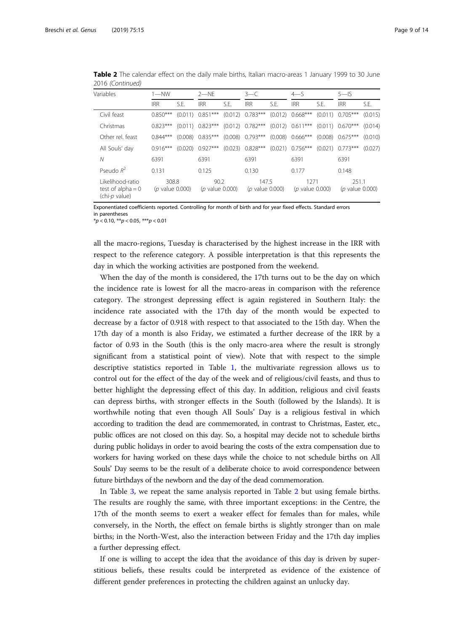| Variables                                                | $1 - NW$                         |         | $2 - NF$                        |         | $3 - C$                          |         | $4 - S$                    |      | $5 - S$                          |         |
|----------------------------------------------------------|----------------------------------|---------|---------------------------------|---------|----------------------------------|---------|----------------------------|------|----------------------------------|---------|
|                                                          | <b>IRR</b>                       | S.E.    | <b>IRR</b>                      | S.E.    | <b>IRR</b>                       | S.F.    | <b>IRR</b>                 | S.F. | <b>IRR</b>                       | S.E.    |
| Civil feast                                              | $0.850***$                       |         | $(0.011)$ 0.851***              | (0.012) | $0.783***$                       | (0.012) | $0.668***$                 |      | $(0.011)$ 0.705***               | (0.015) |
| Christmas                                                | $0.823***$                       |         | $(0.011)$ 0.823***              |         | $(0.012)$ 0.782***               |         | $(0.012)$ 0.611***         |      | $(0.011)$ $0.670***$             | (0.014) |
| Other rel. feast                                         | $0.844***$                       |         | $(0.008)$ 0.835***              | (0.008) | $0.793***$                       | (0.008) | $0.666***$                 |      | $(0.008)$ 0.675***               | (0.010) |
| All Souls' day                                           | $0.916***$                       | (0.020) | $0.927***$                      | (0.023) | $0.828***$                       |         | $(0.021)$ 0.756***         |      | $(0.021)$ 0.773***               | (0.027) |
| Ν                                                        | 6391                             |         | 6391                            |         | 6391                             |         | 6391                       |      | 6391                             |         |
| Pseudo $R^2$                                             | 0.131                            |         | 0.125                           |         | 0.130                            |         | 0.177                      |      | 0.148                            |         |
| Likelihood-ratio<br>test of alpha $= 0$<br>(chi-p value) | 308.8<br>( <i>p</i> value 0.000) |         | 90.2<br>( <i>p</i> value 0.000) |         | 147.5<br>( <i>p</i> value 0.000) |         | 1271<br>( $p$ value 0.000) |      | 251.1<br>( <i>p</i> value 0.000) |         |

Table 2 The calendar effect on the daily male births, Italian macro-areas 1 January 1999 to 30 June 2016 (Continued)

Exponentiated coefficients reported. Controlling for month of birth and for year fixed effects. Standard errors in parentheses

 $*p < 0.10, **p < 0.05, ***p < 0.01$ 

all the macro-regions, Tuesday is characterised by the highest increase in the IRR with respect to the reference category. A possible interpretation is that this represents the day in which the working activities are postponed from the weekend.

When the day of the month is considered, the 17th turns out to be the day on which the incidence rate is lowest for all the macro-areas in comparison with the reference category. The strongest depressing effect is again registered in Southern Italy: the incidence rate associated with the 17th day of the month would be expected to decrease by a factor of 0.918 with respect to that associated to the 15th day. When the 17th day of a month is also Friday, we estimated a further decrease of the IRR by a factor of 0.93 in the South (this is the only macro-area where the result is strongly significant from a statistical point of view). Note that with respect to the simple descriptive statistics reported in Table [1,](#page-4-0) the multivariate regression allows us to control out for the effect of the day of the week and of religious/civil feasts, and thus to better highlight the depressing effect of this day. In addition, religious and civil feasts can depress births, with stronger effects in the South (followed by the Islands). It is worthwhile noting that even though All Souls' Day is a religious festival in which according to tradition the dead are commemorated, in contrast to Christmas, Easter, etc., public offices are not closed on this day. So, a hospital may decide not to schedule births during public holidays in order to avoid bearing the costs of the extra compensation due to workers for having worked on these days while the choice to not schedule births on All Souls' Day seems to be the result of a deliberate choice to avoid correspondence between future birthdays of the newborn and the day of the dead commemoration.

In Table [3,](#page-9-0) we repeat the same analysis reported in Table [2](#page-7-0) but using female births. The results are roughly the same, with three important exceptions: in the Centre, the 17th of the month seems to exert a weaker effect for females than for males, while conversely, in the North, the effect on female births is slightly stronger than on male births; in the North-West, also the interaction between Friday and the 17th day implies a further depressing effect.

If one is willing to accept the idea that the avoidance of this day is driven by superstitious beliefs, these results could be interpreted as evidence of the existence of different gender preferences in protecting the children against an unlucky day.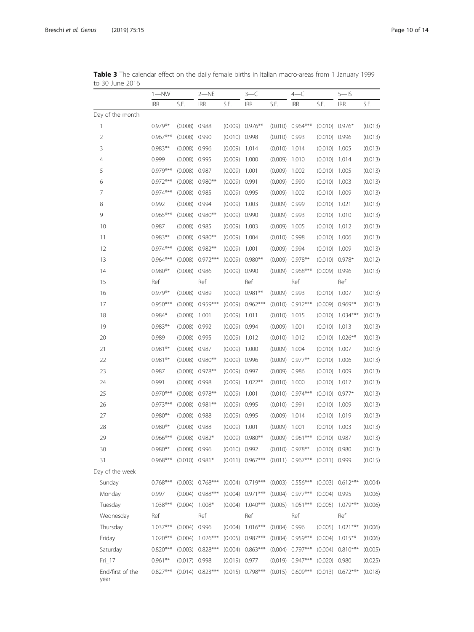|                  | $1 - NN$   |                 | 2-NE               |                 | $3-C$                |                 | $4-C$                |                 | $5 - S$              |         |
|------------------|------------|-----------------|--------------------|-----------------|----------------------|-----------------|----------------------|-----------------|----------------------|---------|
|                  | <b>IRR</b> | S.E.            | <b>IRR</b>         | S.E.            | <b>IRR</b>           | S.E.            | <b>IRR</b>           | S.E.            | <b>IRR</b>           | S.E.    |
| Day of the month |            |                 |                    |                 |                      |                 |                      |                 |                      |         |
| 1                | $0.979**$  | (0.008)         | 0.988              |                 | $(0.009)$ 0.976**    |                 | $(0.010)$ 0.964***   |                 | $(0.010)$ 0.976*     | (0.013) |
| 2                | $0.967***$ | $(0.008)$ 0.990 |                    | $(0.010)$ 0.998 |                      | $(0.010)$ 0.993 |                      | $(0.010)$ 0.996 |                      | (0.013) |
| $\mathsf 3$      | $0.983**$  | (0.008)         | 0.996              | $(0.009)$ 1.014 |                      | $(0.010)$ 1.014 |                      | $(0.010)$ 1.005 |                      | (0.013) |
| 4                | 0.999      | (0.008)         | 0.995              | (0.009)         | 1.000                | (0.009)         | 1.010                | $(0.010)$ 1.014 |                      | (0.013) |
| 5                | $0.979***$ | $(0.008)$ 0.987 |                    | $(0.009)$ 1.001 |                      | (0.009)         | 1.002                | (0.010)         | 1.005                | (0.013) |
| 6                | $0.972***$ | (0.008)         | $0.980**$          | $(0.009)$ 0.991 |                      | $(0.009)$ 0.990 |                      | (0.010)         | 1.003                | (0.013) |
| 7                | $0.974***$ | (0.008)         | 0.985              | $(0.009)$ 0.995 |                      | (0.009)         | 1.002                | $(0.010)$ 1.009 |                      | (0.013) |
| 8                | 0.992      | $(0.008)$ 0.994 |                    | $(0.009)$ 1.003 |                      | $(0.009)$ 0.999 |                      | $(0.010)$ 1.021 |                      | (0.013) |
| 9                | $0.965***$ | (0.008)         | $0.980**$          | $(0.009)$ 0.990 |                      | $(0.009)$ 0.993 |                      | $(0.010)$ 1.010 |                      | (0.013) |
| 10               | 0.987      | (0.008)         | 0.985              | (0.009)         | 1.003                | (0.009)         | 1.005                | (0.010)         | 1.012                | (0.013) |
| 11               | $0.983**$  | (0.008)         | $0.980**$          | (0.009)         | 1.004                | $(0.010)$ 0.998 |                      | (0.010)         | 1.006                | (0.013) |
| 12               | $0.974***$ | (0.008)         | $0.982**$          | (0.009)         | 1.001                | $(0.009)$ 0.994 |                      | (0.010)         | 1.009                | (0.013) |
| 13               | $0.964***$ | (0.008)         | $0.972***$         | (0.009)         | $0.980**$            |                 | $(0.009)$ 0.978**    |                 | $(0.010)$ 0.978*     | (0.012) |
| 14               | $0.980**$  | (0.008)         | 0.986              | $(0.009)$ 0.990 |                      |                 | $(0.009)$ 0.968***   | $(0.009)$ 0.996 |                      | (0.013) |
| 15               | Ref        |                 | Ref                |                 | Ref                  |                 | Ref                  |                 | Ref                  |         |
| 16               | $0.979**$  | (0.008)         | 0.989              | (0.009)         | $0.981**$            | (0.009)         | 0.993                | (0.010)         | 1.007                | (0.013) |
| 17               | $0.950***$ | (0.008)         | $0.959***$         |                 | $(0.009)$ $0.962***$ |                 | $(0.010)$ 0.912***   |                 | $(0.009)$ 0.969**    | (0.013) |
| 18               | $0.984*$   | (0.008)         | 1.001              | (0.009)         | 1.011                | (0.010)         | 1.015                | (0.010)         | $1.034***$           | (0.013) |
| 19               | $0.983**$  | (0.008)         | 0.992              | $(0.009)$ 0.994 |                      | (0.009)         | 1.001                | (0.010)         | 1.013                | (0.013) |
| 20               | 0.989      | $(0.008)$ 0.995 |                    | $(0.009)$ 1.012 |                      | (0.010)         | 1.012                | (0.010)         | $1.026**$            | (0.013) |
| 21               | $0.981**$  | (0.008)         | 0.987              | (0.009)         | 1.000                | (0.009)         | 1.004                | (0.010)         | 1.007                | (0.013) |
| 22               | $0.981**$  | (0.008)         | $0.980**$          | (0.009)         | 0.996                | (0.009)         | $0.977**$            | (0.010)         | 1.006                | (0.013) |
| 23               | 0.987      | (0.008)         | $0.978**$          | $(0.009)$ 0.997 |                      | $(0.009)$ 0.986 |                      | (0.010)         | 1.009                | (0.013) |
| 24               | 0.991      | (0.008)         | 0.998              | (0.009)         | $1.022**$            | (0.010)         | 1.000                | (0.010)         | 1.017                | (0.013) |
| 25               | $0.970***$ | (0.008)         | $0.978**$          | (0.009)         | 1.001                |                 | $(0.010)$ 0.974***   |                 | $(0.010)$ 0.977*     | (0.013) |
| 26               | $0.973***$ |                 | $(0.008)$ 0.981**  | $(0.009)$ 0.995 |                      | $(0.010)$ 0.991 |                      | (0.010)         | 1.009                | (0.013) |
| 27               | $0.980**$  | (0.008)         | 0.988              | $(0.009)$ 0.995 |                      | (0.009)         | 1.014                | (0.010)         | 1.019                | (0.013) |
| 28               | $0.980**$  | (0.008)         | 0.988              | (0.009)         | 1.001                | (0.009)         | 1.001                | (0.010)         | 1.003                | (0.013) |
| 29               | $0.966***$ |                 | $(0.008)$ 0.982*   |                 | $(0.009)$ 0.980**    |                 | $(0.009)$ 0.961***   | $(0.010)$ 0.987 |                      | (0.013) |
| 30               | $0.980**$  | $(0.008)$ 0.996 |                    | (0.010) 0.992   |                      |                 | $(0.010)$ 0.978**    | $(0.010)$ 0.980 |                      | (0.013) |
| 31               | $0.968***$ |                 | $(0.010)$ 0.981*   |                 | $(0.011)$ 0.967***   |                 | $(0.011)$ 0.967***   | $(0.011)$ 0.999 |                      | (0.015) |
| Day of the week  |            |                 |                    |                 |                      |                 |                      |                 |                      |         |
| Sunday           | $0.768***$ |                 | $(0.003)$ 0.768*** |                 | $(0.004)$ 0.719***   |                 | $(0.003)$ $0.556***$ |                 | $(0.003)$ $0.612***$ | (0.004) |
| Monday           | 0.997      |                 | $(0.004)$ 0.988*** |                 | $(0.004)$ 0.971***   |                 | $(0.004)$ 0.977***   | $(0.004)$ 0.995 |                      | (0.006) |
| Tuesday          | $1.038***$ | (0.004)         | $1.008*$           |                 | $(0.004)$ 1.040***   |                 | $(0.005)$ 1.051***   | (0.005)         | $1.079***$           | (0.006) |
| Wednesday        | Ref        |                 | Ref                |                 | Ref                  |                 | Ref                  |                 | Ref                  |         |
| Thursday         | $1.037***$ | (0.004)         | 0.996              | (0.004)         | $1.016***$           | (0.004)         | 0.996                | (0.005)         | $1.021***$           | (0.006) |
| Friday           | $1.020***$ | (0.004)         | $1.026***$         |                 | $(0.005)$ 0.987***   | (0.004)         | $0.959***$           | (0.004)         | $1.015***$           | (0.006) |
| Saturday         | $0.820***$ |                 | $(0.003)$ 0.828*** | (0.004)         | $0.863***$           | (0.004)         | $0.797***$           |                 | $(0.004)$ $0.810***$ | (0.005) |
| $Fri$ 17         | $0.961**$  | $(0.017)$ 0.998 |                    | $(0.019)$ 0.977 |                      |                 | $(0.019)$ 0.947***   | $(0.020)$ 0.980 |                      | (0.025) |
| End/first of the | $0.827***$ |                 | $(0.014)$ 0.823*** |                 | $(0.015)$ 0.798***   |                 | $(0.015)$ 0.609***   |                 | $(0.013)$ 0.672***   | (0.018) |

<span id="page-9-0"></span>Table 3 The calendar effect on the daily female births in Italian macro-areas from 1 January 1999 to 30 June 2016

year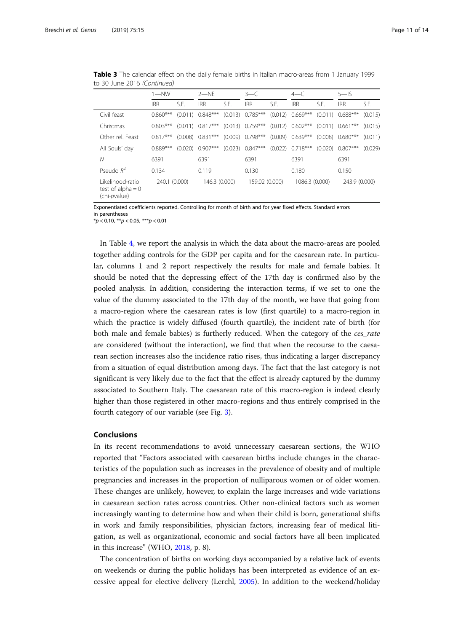|                                                          | $1 - NW$      |         | $2 - NF$           |      | $3 - C$            |      | $4-C$                |         | $5 - 15$             |         |
|----------------------------------------------------------|---------------|---------|--------------------|------|--------------------|------|----------------------|---------|----------------------|---------|
|                                                          | <b>IRR</b>    | S.E.    | <b>IRR</b>         | S.E. | <b>IRR</b>         | S.F. | <b>IRR</b>           | S.E.    | <b>IRR</b>           | S.E.    |
| Civil feast                                              | $0.860***$    | (0.011) | $0.848***$         |      | $(0.013)$ 0.785*** |      | $(0.012)$ 0.669***   |         | $(0.011)$ $0.688***$ | (0.015) |
| Christmas                                                | $0.803***$    |         | $(0.011)$ 0.817*** |      | $(0.013)$ 0.759*** |      | $(0.012)$ 0.602***   |         | $(0.011)$ $0.661***$ | (0.015) |
| Other rel. Feast                                         | $0.817***$    | (0.008) | $0.831***$         |      | $(0.009)$ 0.798*** |      | $(0.009)$ $0.639***$ |         | $(0.008)$ 0.680***   | (0.011) |
| All Souls' day                                           | $0.889***$    | (0.020) | $0.907***$         |      | $(0.023)$ 0.847*** |      | $(0.022)$ 0.718***   | (0.020) | $0.807***$           | (0.029) |
| Ν                                                        | 6391          |         | 6391               |      | 6391               |      | 6391                 |         | 6391                 |         |
| Pseudo $R^2$                                             | 0.134         |         | 0.119              |      | 0.130              |      | 0.180                |         | 0.150                |         |
| l ikelihood-ratio<br>test of alpha $= 0$<br>(chi-pvalue) | 240.1 (0.000) |         | 146.3 (0.000)      |      | 159.02 (0.000)     |      | 1086.3 (0.000)       |         | 243.9 (0.000)        |         |

Table 3 The calendar effect on the daily female births in Italian macro-areas from 1 January 1999 to 30 June 2016 (Continued)

Exponentiated coefficients reported. Controlling for month of birth and for year fixed effects. Standard errors in parentheses

 $*p < 0.10, **p < 0.05, ***p < 0.01$ 

In Table [4](#page-11-0), we report the analysis in which the data about the macro-areas are pooled together adding controls for the GDP per capita and for the caesarean rate. In particular, columns 1 and 2 report respectively the results for male and female babies. It should be noted that the depressing effect of the 17th day is confirmed also by the pooled analysis. In addition, considering the interaction terms, if we set to one the value of the dummy associated to the 17th day of the month, we have that going from a macro-region where the caesarean rates is low (first quartile) to a macro-region in which the practice is widely diffused (fourth quartile), the incident rate of birth (for both male and female babies) is furtherly reduced. When the category of the ces\_rate are considered (without the interaction), we find that when the recourse to the caesarean section increases also the incidence ratio rises, thus indicating a larger discrepancy from a situation of equal distribution among days. The fact that the last category is not significant is very likely due to the fact that the effect is already captured by the dummy associated to Southern Italy. The caesarean rate of this macro-region is indeed clearly higher than those registered in other macro-regions and thus entirely comprised in the fourth category of our variable (see Fig. [3](#page-6-0)).

### Conclusions

In its recent recommendations to avoid unnecessary caesarean sections, the WHO reported that "Factors associated with caesarean births include changes in the characteristics of the population such as increases in the prevalence of obesity and of multiple pregnancies and increases in the proportion of nulliparous women or of older women. These changes are unlikely, however, to explain the large increases and wide variations in caesarean section rates across countries. Other non-clinical factors such as women increasingly wanting to determine how and when their child is born, generational shifts in work and family responsibilities, physician factors, increasing fear of medical litigation, as well as organizational, economic and social factors have all been implicated in this increase" (WHO, [2018](#page-13-0), p. 8).

The concentration of births on working days accompanied by a relative lack of events on weekends or during the public holidays has been interpreted as evidence of an excessive appeal for elective delivery (Lerchl, [2005](#page-13-0)). In addition to the weekend/holiday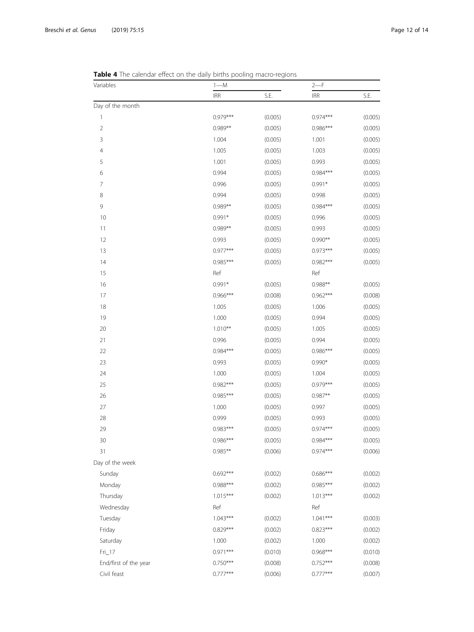| Variables             | $1 - M$    |         | $2-F$      |         |  |
|-----------------------|------------|---------|------------|---------|--|
|                       | <b>IRR</b> | S.E.    | <b>IRR</b> | S.E.    |  |
| Day of the month      |            |         |            |         |  |
| 1                     | $0.979***$ | (0.005) | $0.974***$ | (0.005) |  |
| $\sqrt{2}$            | $0.989**$  | (0.005) | $0.986***$ | (0.005) |  |
| $\mathsf 3$           | 1.004      | (0.005) | 1.001      | (0.005) |  |
| $\overline{4}$        | 1.005      | (0.005) | 1.003      | (0.005) |  |
| 5                     | 1.001      | (0.005) | 0.993      | (0.005) |  |
| 6                     | 0.994      | (0.005) | $0.984***$ | (0.005) |  |
| 7                     | 0.996      | (0.005) | $0.991*$   | (0.005) |  |
| 8                     | 0.994      | (0.005) | 0.998      | (0.005) |  |
| 9                     | $0.989**$  | (0.005) | $0.984***$ | (0.005) |  |
| 10                    | $0.991*$   | (0.005) | 0.996      | (0.005) |  |
| 11                    | $0.989**$  | (0.005) | 0.993      | (0.005) |  |
| 12                    | 0.993      | (0.005) | $0.990**$  | (0.005) |  |
| 13                    | $0.977***$ | (0.005) | $0.973***$ | (0.005) |  |
| 14                    | $0.985***$ | (0.005) | $0.982***$ | (0.005) |  |
| 15                    | Ref        |         | Ref        |         |  |
| 16                    | $0.991*$   | (0.005) | $0.988**$  | (0.005) |  |
| 17                    | $0.966***$ | (0.008) | $0.962***$ | (0.008) |  |
| 18                    | 1.005      | (0.005) | 1.006      | (0.005) |  |
| 19                    | 1.000      | (0.005) | 0.994      | (0.005) |  |
| 20                    | $1.010**$  | (0.005) | 1.005      | (0.005) |  |
| 21                    | 0.996      | (0.005) | 0.994      | (0.005) |  |
| 22                    | $0.984***$ | (0.005) | $0.986***$ | (0.005) |  |
| 23                    | 0.993      | (0.005) | $0.990*$   | (0.005) |  |
| 24                    | 1.000      | (0.005) | 1.004      | (0.005) |  |
| 25                    | $0.982***$ | (0.005) | $0.979***$ | (0.005) |  |
| 26                    | $0.985***$ | (0.005) | $0.987**$  | (0.005) |  |
| $27\,$                | 1.000      | (0.005) | 0.997      | (0.005) |  |
| 28                    | 0.999      | (0.005) | 0.993      | (0.005) |  |
| 29                    | $0.983***$ | (0.005) | $0.974***$ | (0.005) |  |
| 30                    | 0.986***   | (0.005) | 0.984***   | (0.005) |  |
| 31                    | $0.985**$  | (0.006) | $0.974***$ | (0.006) |  |
| Day of the week       |            |         |            |         |  |
| Sunday                | $0.692***$ | (0.002) | $0.686***$ | (0.002) |  |
| Monday                | 0.988***   | (0.002) | $0.985***$ | (0.002) |  |
| Thursday              | $1.015***$ | (0.002) | $1.013***$ | (0.002) |  |
| Wednesday             | Ref        |         | Ref        |         |  |
| Tuesday               | $1.043***$ | (0.002) | $1.041***$ | (0.003) |  |
| Friday                | $0.829***$ | (0.002) | $0.823***$ | (0.002) |  |
| Saturday              | 1.000      | (0.002) | 1.000      | (0.002) |  |
| $Fri$ 17              | $0.971***$ | (0.010) | $0.968***$ | (0.010) |  |
| End/first of the year | $0.750***$ | (0.008) | $0.752***$ | (0.008) |  |
| Civil feast           | $0.777***$ | (0.006) | $0.777***$ | (0.007) |  |

<span id="page-11-0"></span>**Table 4** The calendar effect on the daily births pooling macro-regions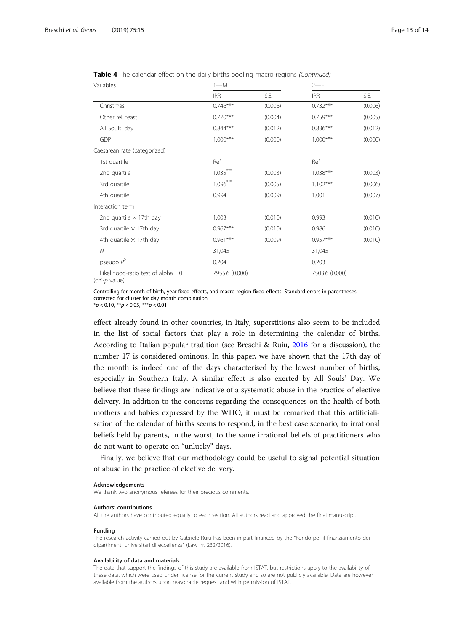| Variables                                             | $1 - M$        |         | $2-F$          |         |  |  |
|-------------------------------------------------------|----------------|---------|----------------|---------|--|--|
|                                                       | <b>IRR</b>     | S.E.    | <b>IRR</b>     | S.E.    |  |  |
| Christmas                                             | $0.746***$     | (0.006) | $0.732***$     | (0.006) |  |  |
| Other rel. feast                                      | $0.770***$     | (0.004) | $0.759***$     | (0.005) |  |  |
| All Souls' day                                        | $0.844***$     | (0.012) | $0.836***$     | (0.012) |  |  |
| GDP                                                   | $1.000***$     | (0.000) | $1.000***$     | (0.000) |  |  |
| Caesarean rate (categorized)                          |                |         |                |         |  |  |
| 1st quartile                                          | Ref            |         | Ref            |         |  |  |
| 2nd quartile                                          | $1.035***$     | (0.003) | 1.038***       | (0.003) |  |  |
| 3rd quartile                                          | $1.096***$     | (0.005) | $1.102***$     | (0.006) |  |  |
| 4th quartile                                          | 0.994          | (0.009) | 1.001          | (0.007) |  |  |
| Interaction term                                      |                |         |                |         |  |  |
| 2nd quartile $\times$ 17th day                        | 1.003          | (0.010) | 0.993          | (0.010) |  |  |
| 3rd quartile $\times$ 17th day                        | $0.967***$     | (0.010) | 0.986          | (0.010) |  |  |
| 4th quartile $\times$ 17th day                        | $0.961***$     | (0.009) | $0.957***$     | (0.010) |  |  |
| $\overline{N}$                                        | 31,045         |         | 31,045         |         |  |  |
| pseudo $R^2$                                          | 0.204          |         | 0.203          |         |  |  |
| Likelihood-ratio test of alpha $= 0$<br>(chi-p value) | 7955.6 (0.000) |         | 7503.6 (0.000) |         |  |  |

Table 4 The calendar effect on the daily births pooling macro-regions (Continued)

Controlling for month of birth, year fixed effects, and macro-region fixed effects. Standard errors in parentheses corrected for cluster for day month combination

 $*p < 0.10, **p < 0.05, **p < 0.01$ 

effect already found in other countries, in Italy, superstitions also seem to be included in the list of social factors that play a role in determining the calendar of births. According to Italian popular tradition (see Breschi & Ruiu, [2016](#page-13-0) for a discussion), the number 17 is considered ominous. In this paper, we have shown that the 17th day of the month is indeed one of the days characterised by the lowest number of births, especially in Southern Italy. A similar effect is also exerted by All Souls' Day. We believe that these findings are indicative of a systematic abuse in the practice of elective delivery. In addition to the concerns regarding the consequences on the health of both mothers and babies expressed by the WHO, it must be remarked that this artificialisation of the calendar of births seems to respond, in the best case scenario, to irrational beliefs held by parents, in the worst, to the same irrational beliefs of practitioners who do not want to operate on "unlucky" days.

Finally, we believe that our methodology could be useful to signal potential situation of abuse in the practice of elective delivery.

#### Acknowledgements

We thank two anonymous referees for their precious comments.

#### Authors' contributions

All the authors have contributed equally to each section. All authors read and approved the final manuscript.

#### Funding

The research activity carried out by Gabriele Ruiu has been in part financed by the "Fondo per il finanziamento dei dipartimenti universitari di eccellenza" (Law nr. 232/2016).

#### Availability of data and materials

The data that support the findings of this study are available from ISTAT, but restrictions apply to the availability of these data, which were used under license for the current study and so are not publicly available. Data are however available from the authors upon reasonable request and with permission of ISTAT.